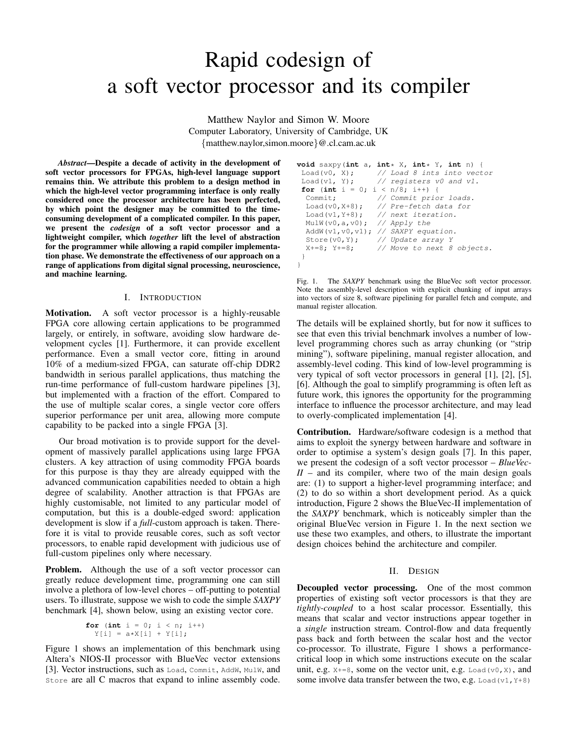# Rapid codesign of a soft vector processor and its compiler

Matthew Naylor and Simon W. Moore Computer Laboratory, University of Cambridge, UK {matthew.naylor,simon.moore}@.cl.cam.ac.uk

*Abstract*—Despite a decade of activity in the development of soft vector processors for FPGAs, high-level language support remains thin. We attribute this problem to a design method in which the high-level vector programming interface is only really considered once the processor architecture has been perfected, by which point the designer may be committed to the timeconsuming development of a complicated compiler. In this paper, we present the *codesign* of a soft vector processor and a lightweight compiler, which *together* lift the level of abstraction for the programmer while allowing a rapid compiler implementation phase. We demonstrate the effectiveness of our approach on a range of applications from digital signal processing, neuroscience, and machine learning.

## I. INTRODUCTION

Motivation. A soft vector processor is a highly-reusable FPGA core allowing certain applications to be programmed largely, or entirely, in software, avoiding slow hardware development cycles [1]. Furthermore, it can provide excellent performance. Even a small vector core, fitting in around 10% of a medium-sized FPGA, can saturate off-chip DDR2 bandwidth in serious parallel applications, thus matching the run-time performance of full-custom hardware pipelines [3], but implemented with a fraction of the effort. Compared to the use of multiple scalar cores, a single vector core offers superior performance per unit area, allowing more compute capability to be packed into a single FPGA [3].

Our broad motivation is to provide support for the development of massively parallel applications using large FPGA clusters. A key attraction of using commodity FPGA boards for this purpose is thay they are already equipped with the advanced communication capabilities needed to obtain a high degree of scalability. Another attraction is that FPGAs are highly customisable, not limited to any particular model of computation, but this is a double-edged sword: application development is slow if a *full*-custom approach is taken. Therefore it is vital to provide reusable cores, such as soft vector processors, to enable rapid development with judicious use of full-custom pipelines only where necessary.

**Problem.** Although the use of a soft vector processor can greatly reduce development time, programming one can still involve a plethora of low-level chores – off-putting to potential users. To illustrate, suppose we wish to code the simple *SAXPY* benchmark [4], shown below, using an existing vector core.

```
for (int i = 0; i < n; i++)Y[i] = a \star X[i] + Y[i];
```
Figure 1 shows an implementation of this benchmark using Altera's NIOS-II processor with BlueVec vector extensions [3]. Vector instructions, such as Load, Commit, AddW, MulW, and Store are all C macros that expand to inline assembly code.

```
void saxpy(int a, int* X, int* Y, int n) {<br>Load(v0, X); // Load 8 ints into vect
 Load(v0, X); \frac{1}{2} // Load 8 ints into vector
 Load(v1, Y); \frac{1}{\sqrt{2}} registers v0 and v1.
 for (int i = 0; i < n/8; i++) {
  Commit; // Commit prior loads.<br>Load(v0,X+8); // Pre-fetch data for
                     // Pre-fetch data for
  Load(v1, Y+8); // next iteration.
  MulW(v0, a, v0); // Apply the
  AddW(v1,v0,v1); // SAXPY equation.
  Store(v0, Y); // Update array Y
  X+=8; Y+=8; // Move to next 8 objects.
 }
}
```


The details will be explained shortly, but for now it suffices to see that even this trivial benchmark involves a number of lowlevel programming chores such as array chunking (or "strip mining"), software pipelining, manual register allocation, and assembly-level coding. This kind of low-level programming is very typical of soft vector processors in general [1], [2], [5], [6]. Although the goal to simplify programming is often left as future work, this ignores the opportunity for the programming interface to influence the processor architecture, and may lead to overly-complicated implementation [4].

Contribution. Hardware/software codesign is a method that aims to exploit the synergy between hardware and software in order to optimise a system's design goals [7]. In this paper, we present the codesign of a soft vector processor – *BlueVec-* $II$  – and its compiler, where two of the main design goals are: (1) to support a higher-level programming interface; and (2) to do so within a short development period. As a quick introduction, Figure 2 shows the BlueVec-II implementation of the *SAXPY* benchmark, which is noticeably simpler than the original BlueVec version in Figure 1. In the next section we use these two examples, and others, to illustrate the important design choices behind the architecture and compiler.

### II. DESIGN

Decoupled vector processing. One of the most common properties of existing soft vector processors is that they are *tightly-coupled* to a host scalar processor. Essentially, this means that scalar and vector instructions appear together in a *single* instruction stream. Control-flow and data frequently pass back and forth between the scalar host and the vector co-processor. To illustrate, Figure 1 shows a performancecritical loop in which some instructions execute on the scalar unit, e.g.  $X+=8$ , some on the vector unit, e.g. Load(v0, X), and some involve data transfer between the two, e.g. Load (v1,  $Y+8$ )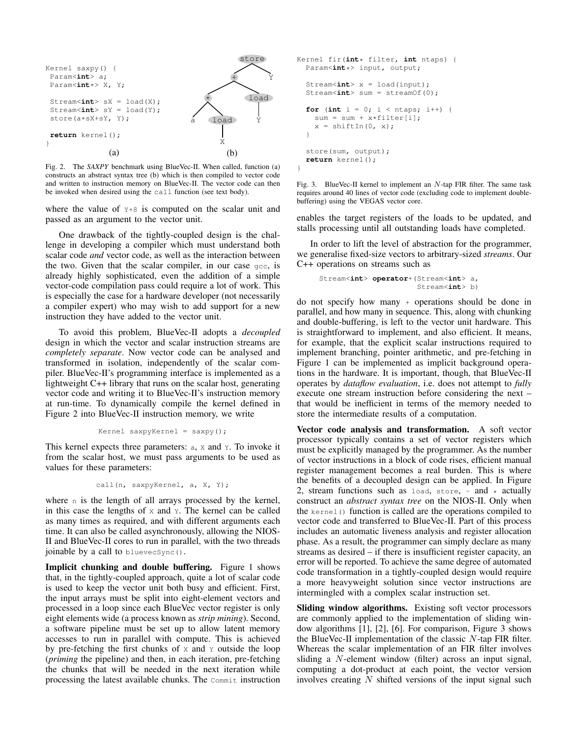

Fig. 2. The *SAXPY* benchmark using BlueVec-II. When called, function (a) constructs an abstract syntax tree (b) which is then compiled to vector code and written to instruction memory on BlueVec-II. The vector code can then be invoked when desired using the call function (see text body).

where the value of  $Y+8$  is computed on the scalar unit and passed as an argument to the vector unit.

One drawback of the tightly-coupled design is the challenge in developing a compiler which must understand both scalar code *and* vector code, as well as the interaction between the two. Given that the scalar compiler, in our case gcc, is already highly sophisticated, even the addition of a simple vector-code compilation pass could require a lot of work. This is especially the case for a hardware developer (not necessarily a compiler expert) who may wish to add support for a new instruction they have added to the vector unit.

To avoid this problem, BlueVec-II adopts a *decoupled* design in which the vector and scalar instruction streams are *completely separate*. Now vector code can be analysed and transformed in isolation, independently of the scalar compiler. BlueVec-II's programming interface is implemented as a lightweight C++ library that runs on the scalar host, generating vector code and writing it to BlueVec-II's instruction memory at run-time. To dynamically compile the kernel defined in Figure 2 into BlueVec-II instruction memory, we write

$$
Kernel \, \text{saypyKernel} = \, \text{saypy}();
$$

This kernel expects three parameters: a, x and y. To invoke it from the scalar host, we must pass arguments to be used as values for these parameters:

call(n, saxpyKernel, a, X, Y);

where n is the length of all arrays processed by the kernel, in this case the lengths of  $x$  and  $y$ . The kernel can be called as many times as required, and with different arguments each time. It can also be called asynchronously, allowing the NIOS-II and BlueVec-II cores to run in parallel, with the two threads joinable by a call to bluevecSync().

Implicit chunking and double buffering. Figure 1 shows that, in the tightly-coupled approach, quite a lot of scalar code is used to keep the vector unit both busy and efficient. First, the input arrays must be split into eight-element vectors and processed in a loop since each BlueVec vector register is only eight elements wide (a process known as *strip mining*). Second, a software pipeline must be set up to allow latent memory accesses to run in parallel with compute. This is achieved by pre-fetching the first chunks of  $x$  and  $y$  outside the loop (*priming* the pipeline) and then, in each iteration, pre-fetching the chunks that will be needed in the next iteration while processing the latest available chunks. The Commit instruction

```
Kernel fir(int* filter, int ntaps) {
  Param<int*> input, output;
  Stream<int> x = load(input);
  Stream<int> sum = streamOf(0);
  for (int i = 0; i < ntaps; i++) {
    sum = sum + x*filter[i];
    x = shiftIn(0, x);}
  store(sum, output);
  return kernel();
}
```
Fig. 3. BlueVec-II kernel to implement an  $N$ -tap FIR filter. The same task requires around 40 lines of vector code (excluding code to implement doublebuffering) using the VEGAS vector core.

enables the target registers of the loads to be updated, and stalls processing until all outstanding loads have completed.

In order to lift the level of abstraction for the programmer, we generalise fixed-size vectors to arbitrary-sized *streams*. Our C++ operations on streams such as

```
Stream<int> operator+(Stream<int> a,
                      Stream<int> b)
```
do not specify how many + operations should be done in parallel, and how many in sequence. This, along with chunking and double-buffering, is left to the vector unit hardware. This is straightforward to implement, and also efficient. It means, for example, that the explicit scalar instructions required to implement branching, pointer arithmetic, and pre-fetching in Figure 1 can be implemented as implicit background operations in the hardware. It is important, though, that BlueVec-II operates by *dataflow evaluation*, i.e. does not attempt to *fully* execute one stream instruction before considering the next – that would be inefficient in terms of the memory needed to store the intermediate results of a computation.

Vector code analysis and transformation. A soft vector processor typically contains a set of vector registers which must be explicitly managed by the programmer. As the number of vector instructions in a block of code rises, efficient manual register management becomes a real burden. This is where the benefits of a decoupled design can be applied. In Figure 2, stream functions such as load, store, - and  $*$  actually construct an *abstract syntax tree* on the NIOS-II. Only when the kernel() function is called are the operations compiled to vector code and transferred to BlueVec-II. Part of this process includes an automatic liveness analysis and register allocation phase. As a result, the programmer can simply declare as many streams as desired – if there is insufficient register capacity, an error will be reported. To achieve the same degree of automated code transformation in a tightly-coupled design would require a more heavyweight solution since vector instructions are intermingled with a complex scalar instruction set.

Sliding window algorithms. Existing soft vector processors are commonly applied to the implementation of sliding window algorithms [1], [2], [6]. For comparison, Figure 3 shows the BlueVec-II implementation of the classic N-tap FIR filter. Whereas the scalar implementation of an FIR filter involves sliding a N-element window (filter) across an input signal, computing a dot-product at each point, the vector version involves creating  $N$  shifted versions of the input signal such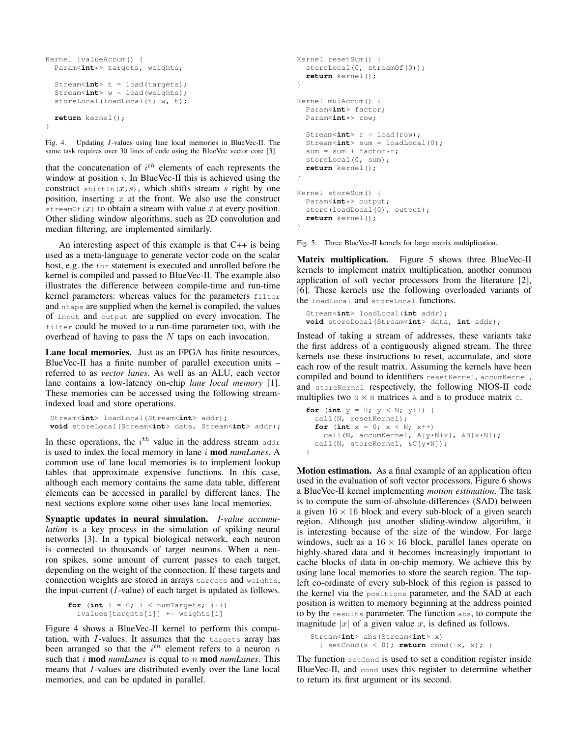```
Kernel ivalueAccum() {
  Param<int*> targets, weights;
  Stream<int>t =load(targets);
  Stream<int> w = load(weights);
  storeLocal(loadLocal(t)+w, t);
  return kernel();
}
```
Fig. 4. Updating I-values using lane local memories in BlueVec-II. The same task requires over 30 lines of code using the BlueVec vector core [3].

that the concatenation of  $i^{th}$  elements of each represents the window at position  $i$ . In BlueVec-II this is achieved using the construct shiftIn( $x, s$ ), which shifts stream s right by one position, inserting  $x$  at the front. We also use the construct stream of  $(x)$  to obtain a stream with value x at every position. Other sliding window algorithms, such as 2D convolution and median filtering, are implemented similarly.

An interesting aspect of this example is that C++ is being used as a meta-language to generate vector code on the scalar host, e.g. the for statement is executed and unrolled before the kernel is compiled and passed to BlueVec-II. The example also illustrates the difference between compile-time and run-time kernel parameters: whereas values for the parameters filter and ntaps are supplied when the kernel is compiled, the values of input and output are supplied on every invocation. The filter could be moved to a run-time parameter too, with the overhead of having to pass the  $N$  taps on each invocation.

Lane local memories. Just as an FPGA has finite resources, BlueVec-II has a finite number of parallel execution units – referred to as *vector lanes*. As well as an ALU, each vector lane contains a low-latency on-chip *lane local memory* [1]. These memories can be accessed using the following streamindexed load and store operations.

```
Stream<int> loadLocal(Stream<int> addr);
void storeLocal(Stream<int> data, Stream<int> addr);
```
In these operations, the  $i^{th}$  value in the address stream addr is used to index the local memory in lane i mod *numLanes*. A common use of lane local memories is to implement lookup tables that approximate expensive functions. In this case, although each memory contains the same data table, different elements can be accessed in parallel by different lanes. The next sections explore some other uses lane local memories.

Synaptic updates in neural simulation. *I-value accumulation* is a key process in the simulation of spiking neural networks [3]. In a typical biological network, each neuron is connected to thousands of target neurons. When a neuron spikes, some amount of current passes to each target, depending on the weight of the connection. If these targets and connection weights are stored in arrays targets and weights, the input-current (I-value) of each target is updated as follows.

```
for (int i = 0; i < numTargets; i+1)
  ivalues[targets[i]] += weights[i]
```
Figure 4 shows a BlueVec-II kernel to perform this computation, with I-values. It assumes that the targets array has been arranged so that the  $i^{th}$  element refers to a neuron n such that i mod *numLanes* is equal to n mod *numLanes*. This means that I-values are distributed evenly over the lane local memories, and can be updated in parallel.

```
Kernel resetSum() {
 storeLocal(0, streamOf(0));
  return kernel();
}
Kernel mulAccum() {
  Param<int> factor;
  Param<int*> row;
  Stream<int> r = load(row);
  Stream<int> sum = loadLocal(0);
  sum = sum + factor *r;
  storeLocal(0, sum);
  return kernel();
}
Kernel storeSum() {
  Param<int*> output;
  store(loadLocal(0), output);
  return kernel();
}
```
Fig. 5. Three BlueVec-II kernels for large matrix multiplication.

Matrix multiplication. Figure 5 shows three BlueVec-II kernels to implement matrix multiplication, another common application of soft vector processors from the literature [2], [6]. These kernels use the following overloaded variants of the loadLocal and storeLocal functions.

```
Stream<int> loadLocal(int addr);
void storeLocal(Stream<int> data, int addr);
```
Instead of taking a stream of addresses, these variants take the first address of a contiguously aligned stream. The three kernels use these instructions to reset, accumulate, and store each row of the result matrix. Assuming the kernels have been compiled and bound to identifiers resetKernel, accumKernel, and storeKernel respectively, the following NIOS-II code multiplies two  $N \times N$  matrices A and B to produce matrix  $C$ .

```
for (int y = 0; y < N; y^{++}) {
 call(N, resetKernel);
 for (int x = 0; x < N; x++)
   call(N, accumKernel, A[y*N+x], &B[x*N]);
 call(N, storeKernel, &C[y*N]);
}
```
**Motion estimation.** As a final example of an application often used in the evaluation of soft vector processors, Figure 6 shows a BlueVec-II kernel implementing *motion estimation*. The task is to compute the sum-of-absolute-differences (SAD) between a given  $16 \times 16$  block and every sub-block of a given search region. Although just another sliding-window algorithm, it is interesting because of the size of the window. For large windows, such as a  $16 \times 16$  block, parallel lanes operate on highly-shared data and it becomes increasingly important to cache blocks of data in on-chip memory. We achieve this by using lane local memories to store the search region. The topleft co-ordinate of every sub-block of this region is passed to the kernel via the positions parameter, and the SAD at each position is written to memory beginning at the address pointed to by the results parameter. The function abs, to compute the magnitude |x| of a given value x, is defined as follows.

```
Stream<int> abs(Stream<int> x)
  { setCond(x < 0); return cond(-x, x); }
```
The function setCond is used to set a condition register inside BlueVec-II, and cond uses this register to determine whether to return its first argument or its second.